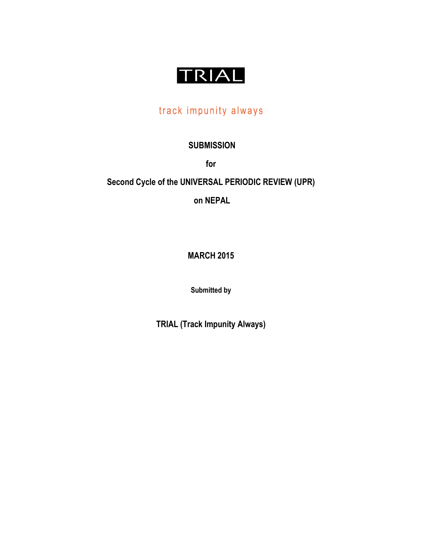

# track impunity always

## **SUBMISSION**

**for** 

## **Second Cycle of the UNIVERSAL PERIODIC REVIEW (UPR)**

**on NEPAL**

**MARCH 2015**

**Submitted by**

**TRIAL (Track Impunity Always)**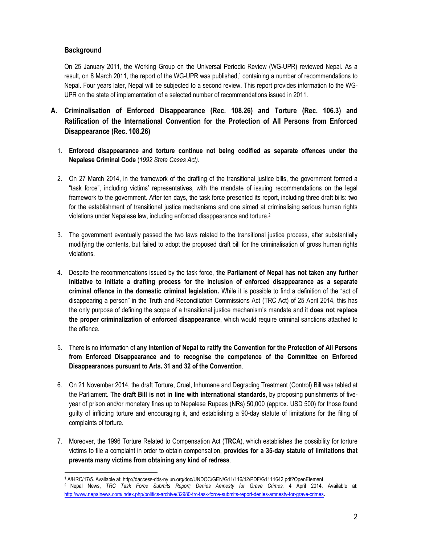## **Background**

On 25 January 2011, the Working Group on the Universal Periodic Review (WG-UPR) reviewed Nepal. As a result, on 8 March 2011, the report of the WG-UPR was published, <sup>1</sup> containing a number of recommendations to Nepal. Four years later, Nepal will be subjected to a second review. This report provides information to the WG-UPR on the state of implementation of a selected number of recommendations issued in 2011.

- **A. Criminalisation of Enforced Disappearance (Rec. 108.26) and Torture (Rec. 106.3) and Ratification of the International Convention for the Protection of All Persons from Enforced Disappearance (Rec. 108.26)**
	- 1. **Enforced disappearance and torture continue not being codified as separate offences under the Nepalese Criminal Code** (*1992 State Cases Act)*.
	- 2. On 27 March 2014, in the framework of the drafting of the transitional justice bills, the government formed a "task force", including victims' representatives, with the mandate of issuing recommendations on the legal framework to the government. After ten days, the task force presented its report, including three draft bills: two for the establishment of transitional justice mechanisms and one aimed at criminalising serious human rights violations under Nepalese law, including enforced disappearance and torture.2
	- 3. The government eventually passed the two laws related to the transitional justice process, after substantially modifying the contents, but failed to adopt the proposed draft bill for the criminalisation of gross human rights violations.
	- 4. Despite the recommendations issued by the task force, **the Parliament of Nepal has not taken any further initiative to initiate a drafting process for the inclusion of enforced disappearance as a separate criminal offence in the domestic criminal legislation.** While it is possible to find a definition of the "act of disappearing a person" in the Truth and Reconciliation Commissions Act (TRC Act) of 25 April 2014, this has the only purpose of defining the scope of a transitional justice mechanism's mandate and it **does not replace the proper criminalization of enforced disappearance**, which would require criminal sanctions attached to the offence.
	- 5. There is no information of **any intention of Nepal to ratify the Convention for the Protection of All Persons from Enforced Disappearance and to recognise the competence of the Committee on Enforced Disappearances pursuant to Arts. 31 and 32 of the Convention**.
	- 6. On 21 November 2014, the draft Torture, Cruel, Inhumane and Degrading Treatment (Control) Bill was tabled at the Parliament. **The draft Bill is not in line with international standards**, by proposing punishments of fiveyear of prison and/or monetary fines up to Nepalese Rupees (NRs) 50,000 (approx. USD 500) for those found guilty of inflicting torture and encouraging it, and establishing a 90-day statute of limitations for the filing of complaints of torture.
	- 7. Moreover, the 1996 Torture Related to Compensation Act (**TRCA**), which establishes the possibility for torture victims to file a complaint in order to obtain compensation, **provides for a 35-day statute of limitations that prevents many victims from obtaining any kind of redress**.

 <sup>1</sup> A/HRC/17/5. Available at: http://daccess-dds-ny.un.org/doc/UNDOC/GEN/G11/116/42/PDF/G1111642.pdf?OpenElement. <sup>2</sup> Nepal News, *TRC Task Force Submits Report; Denies Amnesty for Grave Crimes,* 4 April 2014. Available at: http://www.nepalnews.com/index.php/politics-archive/32980-trc-task-force-submits-report-denies-amnesty-for-grave-crimes.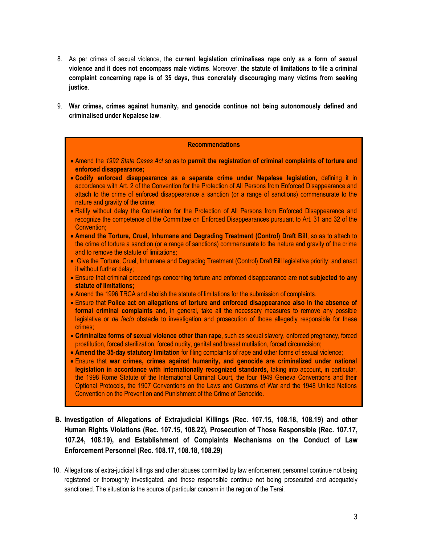- 8. As per crimes of sexual violence, the **current legislation criminalises rape only as a form of sexual violence and it does not encompass male victims**. Moreover, **the statute of limitations to file a criminal complaint concerning rape is of 35 days, thus concretely discouraging many victims from seeking justice**.
- 9. **War crimes, crimes against humanity, and genocide continue not being autonomously defined and criminalised under Nepalese law**.

### **Recommendations**

- x Amend the *1992 State Cases Act* so as to **permit the registration of criminal complaints of torture and enforced disappearance;**
- x **Codify enforced disappearance as a separate crime under Nepalese legislation,** defining it in accordance with Art. 2 of the Convention for the Protection of All Persons from Enforced Disappearance and attach to the crime of enforced disappearance a sanction (or a range of sanctions) commensurate to the nature and gravity of the crime;
- Ratify without delay the Convention for the Protection of All Persons from Enforced Disappearance and recognize the competence of the Committee on Enforced Disappearances pursuant to Art. 31 and 32 of the Convention;
- **Amend the Torture, Cruel, Inhumane and Degrading Treatment (Control) Draft Bill, so as to attach to** the crime of torture a sanction (or a range of sanctions) commensurate to the nature and gravity of the crime and to remove the statute of limitations;
- Give the Torture, Cruel, Inhumane and Degrading Treatment (Control) Draft Bill legislative priority; and enact it without further delay;
- x Ensure that criminal proceedings concerning torture and enforced disappearance are **not subjected to any statute of limitations;**
- Amend the 1996 TRCA and abolish the statute of limitations for the submission of complaints.
- x Ensure that **Police act on allegations of torture and enforced disappearance also in the absence of formal criminal complaints** and, in general, take all the necessary measures to remove any possible legislative or *de facto* obstacle to investigation and prosecution of those allegedly responsible for these crimes;
- x **Criminalize forms of sexual violence other than rape**, such as sexual slavery, enforced pregnancy, forced prostitution, forced sterilization, forced nudity, genital and breast mutilation, forced circumcision;
- **Amend the 35-day statutory limitation for filing complaints of rape and other forms of sexual violence;**
- x Ensure that **war crimes, crimes against humanity, and genocide are criminalized under national legislation in accordance with internationally recognized standards,** taking into account, in particular, the 1998 Rome Statute of the International Criminal Court, the four 1949 Geneva Conventions and their Optional Protocols, the 1907 Conventions on the Laws and Customs of War and the 1948 United Nations Convention on the Prevention and Punishment of the Crime of Genocide.
- **B. Investigation of Allegations of Extrajudicial Killings (Rec. 107.15, 108.18, 108.19) and other Human Rights Violations (Rec. 107.15, 108.22), Prosecution of Those Responsible (Rec. 107.17, 107.24, 108.19), and Establishment of Complaints Mechanisms on the Conduct of Law Enforcement Personnel (Rec. 108.17, 108.18, 108.29)**
- 10. Allegations of extra-judicial killings and other abuses committed by law enforcement personnel continue not being registered or thoroughly investigated, and those responsible continue not being prosecuted and adequately sanctioned. The situation is the source of particular concern in the region of the Terai.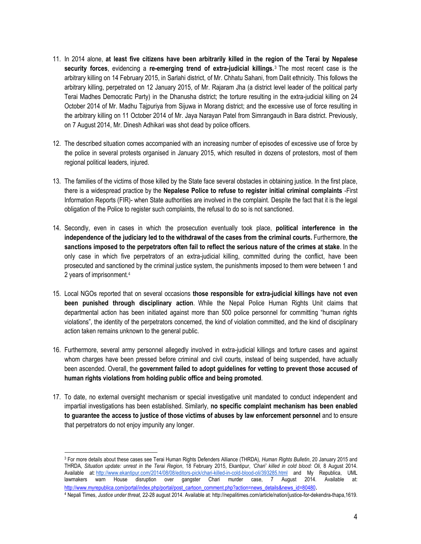- 11. In 2014 alone, **at least five citizens have been arbitrarily killed in the region of the Terai by Nepalese security forces**, evidencing a **re-emerging trend of extra-judicial killings.**<sup>3</sup> The most recent case is the arbitrary killing on 14 February 2015, in Sarlahi district, of Mr. Chhatu Sahani, from Dalit ethnicity. This follows the arbitrary killing, perpetrated on 12 January 2015, of Mr. Rajaram Jha (a district level leader of the political party Terai Madhes Democratic Party) in the Dhanusha district; the torture resulting in the extra-judicial killing on 24 October 2014 of Mr. Madhu Tajpuriya from Sijuwa in Morang district; and the excessive use of force resulting in the arbitrary killing on 11 October 2014 of Mr. Jaya Narayan Patel from Simrangaudh in Bara district. Previously, on 7 August 2014, Mr. Dinesh Adhikari was shot dead by police officers.
- 12. The described situation comes accompanied with an increasing number of episodes of excessive use of force by the police in several protests organised in January 2015, which resulted in dozens of protestors, most of them regional political leaders, injured.
- 13. The families of the victims of those killed by the State face several obstacles in obtaining justice. In the first place, there is a widespread practice by the **Nepalese Police to refuse to register initial criminal complaints** -First Information Reports (FIR)- when State authorities are involved in the complaint. Despite the fact that it is the legal obligation of the Police to register such complaints, the refusal to do so is not sanctioned.
- 14. Secondly, even in cases in which the prosecution eventually took place, **political interference in the independence of the judiciary led to the withdrawal of the cases from the criminal courts.** Furthermore, **the sanctions imposed to the perpetrators often fail to reflect the serious nature of the crimes at stake**. In the only case in which five perpetrators of an extra-judicial killing, committed during the conflict, have been prosecuted and sanctioned by the criminal justice system, the punishments imposed to them were between 1 and 2 years of imprisonment.4
- 15. Local NGOs reported that on several occasions **those responsible for extra-judicial killings have not even been punished through disciplinary action**. While the Nepal Police Human Rights Unit claims that departmental action has been initiated against more than 500 police personnel for committing "human rights violations", the identity of the perpetrators concerned, the kind of violation committed, and the kind of disciplinary action taken remains unknown to the general public.
- 16. Furthermore, several army personnel allegedly involved in extra-judicial killings and torture cases and against whom charges have been pressed before criminal and civil courts, instead of being suspended, have actually been ascended. Overall, the **government failed to adopt guidelines for vetting to prevent those accused of human rights violations from holding public office and being promoted**.
- 17. To date, no external oversight mechanism or special investigative unit mandated to conduct independent and impartial investigations has been established. Similarly, **no specific complaint mechanism has been enabled to guarantee the access to justice of those victims of abuses by law enforcement personnel** and to ensure that perpetrators do not enjoy impunity any longer.

 <sup>3</sup> For more details about these cases see Terai Human Rights Defenders Alliance (THRDA), *Human Rights Bulletin*, 20 January 2015 and THRDA, *Situation update: unrest in the Terai Region*, 18 February 2015, Ekantipur, *'Chari' killed in cold blood: Oli,* 8 August 2014. Available at: http://www.ekantipur.com/2014/08/08/editors-pick/chari-killed-in-cold-blood-oli/393285.html and My Republica, UML lawmakers warn House disruption over gangster Chari murder case, 7 August 2014. Available at: http://www.myrepublica.com/portal/index.php/portal/post\_cartoon\_comment.php?action=news\_details&news\_id=80480.

<sup>4</sup> Nepali Times, *Justice under threat,* 22-28 august 2014. Available at: http://nepalitimes.com/article/nation/justice-for-dekendra-thapa,1619.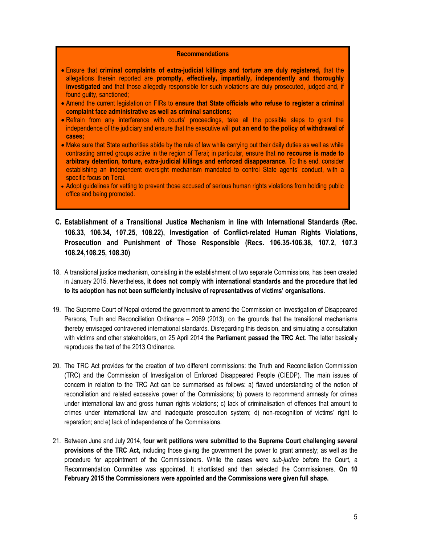#### **Recommendations**

- x Ensure that **criminal complaints of extra-judicial killings and torture are duly registered,** that the allegations therein reported are **promptly, effectively, impartially, independently and thoroughly investigated** and that those allegedly responsible for such violations are duly prosecuted, judged and, if found guilty, sanctioned;
- Amend the current legislation on FIRs to **ensure that State officials who refuse to register a criminal complaint face administrative as well as criminal sanctions;**
- Refrain from any interference with courts' proceedings, take all the possible steps to grant the independence of the judiciary and ensure that the executive will **put an end to the policy of withdrawal of cases;**
- Make sure that State authorities abide by the rule of law while carrying out their daily duties as well as while contrasting armed groups active in the region of Terai; in particular, ensure that **no recourse is made to arbitrary detention, torture, extra-judicial killings and enforced disappearance.** To this end, consider establishing an independent oversight mechanism mandated to control State agents' conduct, with a specific focus on Terai.
- Adopt guidelines for vetting to prevent those accused of serious human rights violations from holding public office and being promoted.
- **C. Establishment of a Transitional Justice Mechanism in line with International Standards (Rec. 106.33, 106.34, 107.25, 108.22), Investigation of Conflict-related Human Rights Violations, Prosecution and Punishment of Those Responsible (Recs. 106.35-106.38, 107.2, 107.3 108.24,108.25, 108.30)**
- 18. A transitional justice mechanism, consisting in the establishment of two separate Commissions, has been created in January 2015. Nevertheless, **it does not comply with international standards and the procedure that led to its adoption has not been sufficiently inclusive of representatives of victims' organisations.**
- 19. The Supreme Court of Nepal ordered the government to amend the Commission on Investigation of Disappeared Persons, Truth and Reconciliation Ordinance – 2069 (2013), on the grounds that the transitional mechanisms thereby envisaged contravened international standards. Disregarding this decision, and simulating a consultation with victims and other stakeholders, on 25 April 2014 **the Parliament passed the TRC Act**. The latter basically reproduces the text of the 2013 Ordinance.
- 20. The TRC Act provides for the creation of two different commissions: the Truth and Reconciliation Commission (TRC) and the Commission of Investigation of Enforced Disappeared People (CIEDP). The main issues of concern in relation to the TRC Act can be summarised as follows: a) flawed understanding of the notion of reconciliation and related excessive power of the Commissions; b) powers to recommend amnesty for crimes under international law and gross human rights violations; c) lack of criminalisation of offences that amount to crimes under international law and inadequate prosecution system; d) non-recognition of victims' right to reparation; and e) lack of independence of the Commissions.
- 21. Between June and July 2014, **four writ petitions were submitted to the Supreme Court challenging several provisions of the TRC Act,** including those giving the government the power to grant amnesty; as well as the procedure for appointment of the Commissioners. While the cases were *sub-judice* before the Court, a Recommendation Committee was appointed. It shortlisted and then selected the Commissioners. **On 10 February 2015 the Commissioners were appointed and the Commissions were given full shape.**